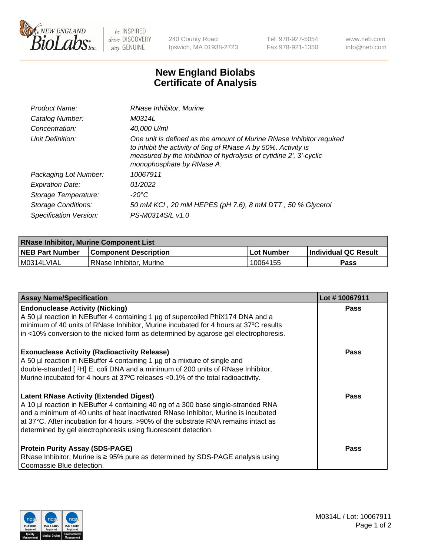

 $be$  INSPIRED drive DISCOVERY stay GENUINE

240 County Road Ipswich, MA 01938-2723 Tel 978-927-5054 Fax 978-921-1350 www.neb.com info@neb.com

## **New England Biolabs Certificate of Analysis**

| Product Name:           | RNase Inhibitor, Murine                                                                                                                                                                                                                  |
|-------------------------|------------------------------------------------------------------------------------------------------------------------------------------------------------------------------------------------------------------------------------------|
| Catalog Number:         | M0314L                                                                                                                                                                                                                                   |
| Concentration:          | 40,000 U/ml                                                                                                                                                                                                                              |
| Unit Definition:        | One unit is defined as the amount of Murine RNase Inhibitor required<br>to inhibit the activity of 5ng of RNase A by 50%. Activity is<br>measured by the inhibition of hydrolysis of cytidine 2', 3'-cyclic<br>monophosphate by RNase A. |
| Packaging Lot Number:   | 10067911                                                                                                                                                                                                                                 |
| <b>Expiration Date:</b> | 01/2022                                                                                                                                                                                                                                  |
| Storage Temperature:    | -20°C                                                                                                                                                                                                                                    |
| Storage Conditions:     | 50 mM KCI, 20 mM HEPES (pH 7.6), 8 mM DTT, 50 % Glycerol                                                                                                                                                                                 |
| Specification Version:  | PS-M0314S/L v1.0                                                                                                                                                                                                                         |

| <b>RNase Inhibitor, Murine Component List</b> |                              |            |                             |  |  |
|-----------------------------------------------|------------------------------|------------|-----------------------------|--|--|
| <b>NEB Part Number</b>                        | <b>Component Description</b> | Lot Number | <b>Individual QC Result</b> |  |  |
| M0314LVIAL                                    | RNase Inhibitor, Murine      | 10064155   | Pass                        |  |  |

| <b>Assay Name/Specification</b>                                                                                                                                                                                                                                                                                                                                                   | Lot #10067911 |
|-----------------------------------------------------------------------------------------------------------------------------------------------------------------------------------------------------------------------------------------------------------------------------------------------------------------------------------------------------------------------------------|---------------|
| <b>Endonuclease Activity (Nicking)</b><br>A 50 µl reaction in NEBuffer 4 containing 1 µg of supercoiled PhiX174 DNA and a<br>minimum of 40 units of RNase Inhibitor, Murine incubated for 4 hours at 37°C results<br>in <10% conversion to the nicked form as determined by agarose gel electrophoresis.                                                                          | Pass          |
| <b>Exonuclease Activity (Radioactivity Release)</b><br>A 50 µl reaction in NEBuffer 4 containing 1 µg of a mixture of single and<br>double-stranded [3H] E. coli DNA and a minimum of 200 units of RNase Inhibitor,<br>Murine incubated for 4 hours at 37°C releases <0.1% of the total radioactivity.                                                                            | <b>Pass</b>   |
| <b>Latent RNase Activity (Extended Digest)</b><br>A 10 µl reaction in NEBuffer 4 containing 40 ng of a 300 base single-stranded RNA<br>and a minimum of 40 units of heat inactivated RNase Inhibitor, Murine is incubated<br>at 37°C. After incubation for 4 hours, >90% of the substrate RNA remains intact as<br>determined by gel electrophoresis using fluorescent detection. | <b>Pass</b>   |
| <b>Protein Purity Assay (SDS-PAGE)</b><br>RNase Inhibitor, Murine is ≥ 95% pure as determined by SDS-PAGE analysis using<br>Coomassie Blue detection.                                                                                                                                                                                                                             | <b>Pass</b>   |